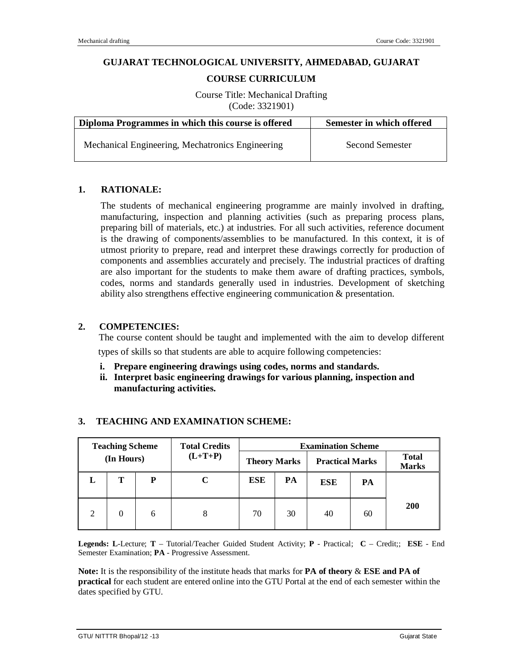### **GUJARAT TECHNOLOGICAL UNIVERSITY, AHMEDABAD, GUJARAT**

### **COURSE CURRICULUM**

Course Title: Mechanical Drafting (Code: 3321901)

| Diploma Programmes in which this course is offered | Semester in which offered |  |  |
|----------------------------------------------------|---------------------------|--|--|
| Mechanical Engineering, Mechatronics Engineering   | <b>Second Semester</b>    |  |  |

### **1. RATIONALE:**

The students of mechanical engineering programme are mainly involved in drafting, manufacturing, inspection and planning activities (such as preparing process plans, preparing bill of materials, etc.) at industries. For all such activities, reference document is the drawing of components/assemblies to be manufactured. In this context, it is of utmost priority to prepare, read and interpret these drawings correctly for production of components and assemblies accurately and precisely. The industrial practices of drafting are also important for the students to make them aware of drafting practices, symbols, codes, norms and standards generally used in industries. Development of sketching ability also strengthens effective engineering communication & presentation.

### **2. COMPETENCIES:**

The course content should be taught and implemented with the aim to develop different types of skills so that students are able to acquire following competencies:

- **i. Prepare engineering drawings using codes, norms and standards.**
- **ii. Interpret basic engineering drawings for various planning, inspection and manufacturing activities.**

| <b>Teaching Scheme</b> |   | <b>Total Credits</b> | <b>Examination Scheme</b> |            |    |            |                        |            |                              |
|------------------------|---|----------------------|---------------------------|------------|----|------------|------------------------|------------|------------------------------|
| (In Hours)             |   | $(L+T+P)$            | <b>Theory Marks</b>       |            |    |            | <b>Practical Marks</b> |            | <b>Total</b><br><b>Marks</b> |
| L                      | т | P                    |                           | <b>ESE</b> | PA | <b>ESE</b> | PA                     |            |                              |
| $\mathfrak{D}$         | 0 | 6                    |                           | 70         | 30 | 40         | 60                     | <b>200</b> |                              |

# **3. TEACHING AND EXAMINATION SCHEME:**

**Legends: L**-Lecture; **T** – Tutorial/Teacher Guided Student Activity; **P** - Practical; **C** – Credit;; **ESE** - End Semester Examination; **PA** - Progressive Assessment.

**Note:** It is the responsibility of the institute heads that marks for **PA of theory** & **ESE and PA of practical** for each student are entered online into the GTU Portal at the end of each semester within the dates specified by GTU.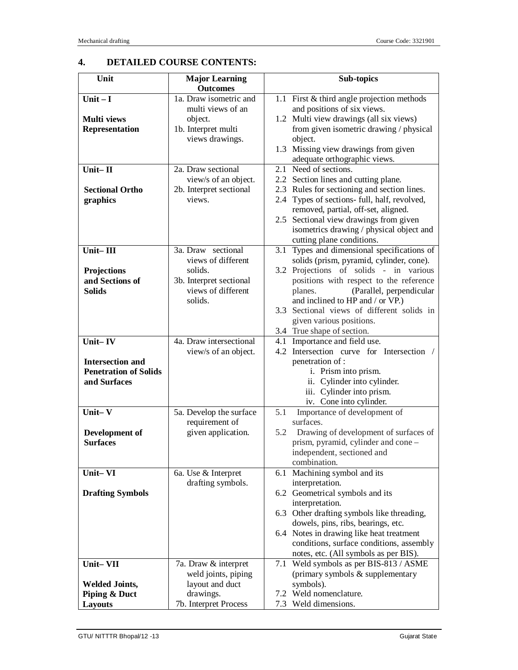# **4. DETAILED COURSE CONTENTS:**

| Unit                         | <b>Major Learning</b>   | Sub-topics                                                                 |
|------------------------------|-------------------------|----------------------------------------------------------------------------|
|                              | <b>Outcomes</b>         |                                                                            |
| Unit- $I$                    | 1a. Draw isometric and  | 1.1 First & third angle projection methods                                 |
|                              | multi views of an       | and positions of six views.                                                |
| <b>Multi</b> views           | object.                 | 1.2 Multi view drawings (all six views)                                    |
| Representation               | 1b. Interpret multi     | from given isometric drawing / physical                                    |
|                              | views drawings.         | object.                                                                    |
|                              |                         | 1.3 Missing view drawings from given                                       |
|                              |                         | adequate orthographic views.                                               |
| Unit-II                      | 2a. Draw sectional      | 2.1 Need of sections.                                                      |
|                              | view/s of an object.    | 2.2 Section lines and cutting plane.                                       |
| <b>Sectional Ortho</b>       | 2b. Interpret sectional | 2.3 Rules for sectioning and section lines.                                |
| graphics                     | views.                  | 2.4 Types of sections- full, half, revolved,                               |
|                              |                         | removed, partial, off-set, aligned.                                        |
|                              |                         | 2.5 Sectional view drawings from given                                     |
|                              |                         | isometrics drawing / physical object and                                   |
|                              |                         | cutting plane conditions.                                                  |
| Unit-III                     | 3a. Draw sectional      | 3.1 Types and dimensional specifications of                                |
|                              | views of different      | solids (prism, pyramid, cylinder, cone).                                   |
| Projections                  | solids.                 | 3.2 Projections of solids - in various                                     |
| and Sections of              | 3b. Interpret sectional | positions with respect to the reference                                    |
| <b>Solids</b>                | views of different      | (Parallel, perpendicular<br>planes.                                        |
|                              | solids.                 | and inclined to HP and / or VP.)                                           |
|                              |                         | Sectional views of different solids in<br>3.3                              |
|                              |                         | given various positions.                                                   |
|                              |                         | 3.4 True shape of section.                                                 |
| Unit-IV                      | 4a. Draw intersectional | 4.1 Importance and field use.<br>4.2 Intersection curve for Intersection / |
| <b>Intersection and</b>      | view/s of an object.    |                                                                            |
| <b>Penetration of Solids</b> |                         | penetration of :<br>i. Prism into prism.                                   |
| and Surfaces                 |                         | ii. Cylinder into cylinder.                                                |
|                              |                         | iii. Cylinder into prism.                                                  |
|                              |                         | iv. Cone into cylinder.                                                    |
| Unit- $V$                    | 5a. Develop the surface | 5.1<br>Importance of development of                                        |
|                              | requirement of          | surfaces.                                                                  |
| Development of               | given application.      | Drawing of development of surfaces of<br>5.2                               |
| <b>Surfaces</b>              |                         | prism, pyramid, cylinder and cone -                                        |
|                              |                         | independent, sectioned and                                                 |
|                              |                         | combination.                                                               |
| Unit-VI                      | 6a. Use & Interpret     | 6.1 Machining symbol and its                                               |
|                              | drafting symbols.       | interpretation.                                                            |
| <b>Drafting Symbols</b>      |                         | 6.2 Geometrical symbols and its                                            |
|                              |                         | interpretation.                                                            |
|                              |                         | 6.3 Other drafting symbols like threading,                                 |
|                              |                         | dowels, pins, ribs, bearings, etc.                                         |
|                              |                         | 6.4 Notes in drawing like heat treatment                                   |
|                              |                         | conditions, surface conditions, assembly                                   |
|                              |                         | notes, etc. (All symbols as per BIS).                                      |
| Unit-VII                     | 7a. Draw & interpret    | 7.1 Weld symbols as per BIS-813 / ASME                                     |
|                              | weld joints, piping     | (primary symbols & supplementary                                           |
| <b>Welded Joints,</b>        | layout and duct         | symbols).                                                                  |
| <b>Piping &amp; Duct</b>     | drawings.               | 7.2 Weld nomenclature.                                                     |
| <b>Layouts</b>               | 7b. Interpret Process   | 7.3 Weld dimensions.                                                       |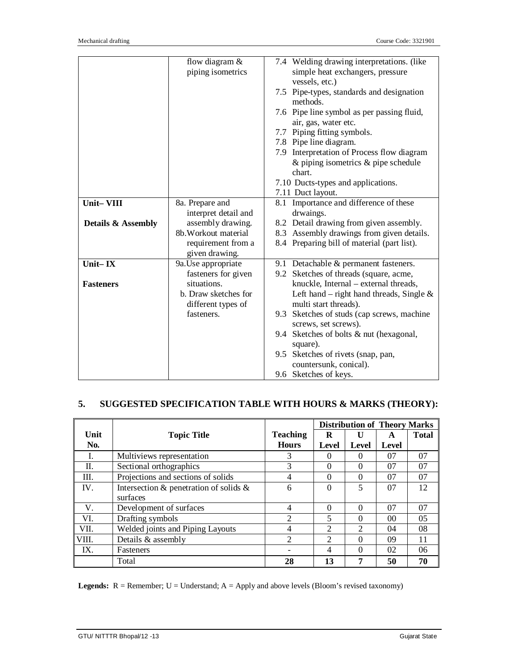|                               | flow diagram $&$<br>piping isometrics | 7.4 Welding drawing interpretations. (like<br>simple heat exchangers, pressure |
|-------------------------------|---------------------------------------|--------------------------------------------------------------------------------|
|                               |                                       | vessels, etc.)                                                                 |
|                               |                                       | 7.5 Pipe-types, standards and designation<br>methods.                          |
|                               |                                       | 7.6 Pipe line symbol as per passing fluid,                                     |
|                               |                                       | air, gas, water etc.                                                           |
|                               |                                       | 7.7 Piping fitting symbols.                                                    |
|                               |                                       | 7.8 Pipe line diagram.                                                         |
|                               |                                       | 7.9 Interpretation of Process flow diagram                                     |
|                               |                                       | $\&$ piping isometrics $\&$ pipe schedule<br>chart.                            |
|                               |                                       | 7.10 Ducts-types and applications.                                             |
|                               |                                       | 7.11 Duct layout.                                                              |
| Unit-VIII                     | 8a. Prepare and                       | 8.1 Importance and difference of these                                         |
|                               | interpret detail and                  | drwaings.                                                                      |
| <b>Details &amp; Assembly</b> | assembly drawing.                     | 8.2 Detail drawing from given assembly.                                        |
|                               | 8b. Workout material                  | 8.3 Assembly drawings from given details.                                      |
|                               | requirement from a<br>given drawing.  | 8.4 Preparing bill of material (part list).                                    |
| Unit-IX                       | 9a. Use appropriate                   | 9.1 Detachable & permanent fasteners.                                          |
|                               | fasteners for given                   | 9.2 Sketches of threads (square, acme,                                         |
| <b>Fasteners</b>              | situations.                           | knuckle, Internal - external threads,                                          |
|                               | b. Draw sketches for                  | Left hand – right hand threads, Single $\&$                                    |
|                               | different types of                    | multi start threads).                                                          |
|                               | fasteners.                            | 9.3 Sketches of studs (cap screws, machine                                     |
|                               |                                       | screws, set screws).                                                           |
|                               |                                       | 9.4 Sketches of bolts & nut (hexagonal,                                        |
|                               |                                       | square).                                                                       |
|                               |                                       | 9.5 Sketches of rivets (snap, pan,                                             |
|                               |                                       | countersunk, conical).                                                         |
|                               |                                       | 9.6 Sketches of keys.                                                          |

# **5. SUGGESTED SPECIFICATION TABLE WITH HOURS & MARKS (THEORY):**

|       |                                              |                 |                | <b>Distribution of Theory Marks</b> |       |              |
|-------|----------------------------------------------|-----------------|----------------|-------------------------------------|-------|--------------|
| Unit  | <b>Topic Title</b>                           | <b>Teaching</b> | R              | U                                   | A     | <b>Total</b> |
| No.   |                                              | <b>Hours</b>    | Level          | Level                               | Level |              |
| I.    | Multiviews representation                    | 3               | 0              | 0                                   | 07    | 07           |
| П.    | Sectional orthographics                      | 3               | $\Omega$       | 0                                   | 07    | 07           |
| Ш.    | Projections and sections of solids           | 4               | $\theta$       | 0                                   | 07    | 07           |
| IV.   | Intersection $\&$ penetration of solids $\&$ | 6               | $\theta$       | 5                                   | 07    | 12           |
|       | surfaces                                     |                 |                |                                     |       |              |
| V.    | Development of surfaces                      | 4               | $\Omega$       | 0                                   | 07    | 07           |
| VI.   | Drafting symbols                             | $\mathfrak{D}$  | 5              | 0                                   | 00    | 05           |
| VII.  | Welded joints and Piping Layouts             | 4               | $\mathfrak{D}$ | $\overline{2}$                      | 04    | 08           |
| VIII. | Details & assembly                           | $\mathfrak{D}$  | 2              | 0                                   | 09    | 11           |
| IX.   | <b>Fasteners</b>                             |                 | 4              | 0                                   | 02    | 06           |
|       | Total                                        | 28              | 13             | 7                                   | 50    | 70           |

Legends: R = Remember; U = Understand; A = Apply and above levels (Bloom's revised taxonomy)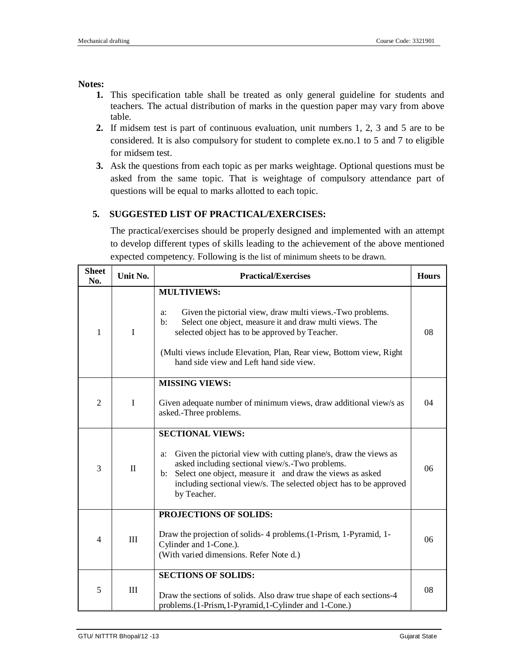### **Notes:**

- **1.** This specification table shall be treated as only general guideline for students and teachers. The actual distribution of marks in the question paper may vary from above table.
- **2.** If midsem test is part of continuous evaluation, unit numbers 1, 2, 3 and 5 are to be considered. It is also compulsory for student to complete ex.no.1 to 5 and 7 to eligible for midsem test.
- **3.** Ask the questions from each topic as per marks weightage. Optional questions must be asked from the same topic. That is weightage of compulsory attendance part of questions will be equal to marks allotted to each topic.

# **5. SUGGESTED LIST OF PRACTICAL/EXERCISES:**

The practical/exercises should be properly designed and implemented with an attempt to develop different types of skills leading to the achievement of the above mentioned expected competency. Following is the list of minimum sheets to be drawn.

| <b>Sheet</b><br>No. | Unit No.     | <b>Practical/Exercises</b>                                                                                                                                                                                                                                                                                                             |    |  |
|---------------------|--------------|----------------------------------------------------------------------------------------------------------------------------------------------------------------------------------------------------------------------------------------------------------------------------------------------------------------------------------------|----|--|
| 1                   | I            | <b>MULTIVIEWS:</b><br>Given the pictorial view, draw multi views.-Two problems.<br>a:<br>Select one object, measure it and draw multi views. The<br>$\mathbf{b}$ :<br>selected object has to be approved by Teacher.<br>(Multi views include Elevation, Plan, Rear view, Bottom view, Right<br>hand side view and Left hand side view. | 08 |  |
| 2                   | $\mathbf{I}$ | <b>MISSING VIEWS:</b><br>Given adequate number of minimum views, draw additional view/s as<br>asked.-Three problems.                                                                                                                                                                                                                   | 04 |  |
| 3                   | $\mathbf{I}$ | <b>SECTIONAL VIEWS:</b><br>Given the pictorial view with cutting plane/s, draw the views as<br>a:<br>asked including sectional view/s.-Two problems.<br>Select one object, measure it and draw the views as asked<br>$\mathbf{b}$ :<br>including sectional view/s. The selected object has to be approved<br>by Teacher.               | 06 |  |
| 4                   | III          | PROJECTIONS OF SOLIDS:<br>Draw the projection of solids- 4 problems.(1-Prism, 1-Pyramid, 1-<br>Cylinder and 1-Cone.).<br>(With varied dimensions. Refer Note d.)                                                                                                                                                                       | 06 |  |
| 5                   | III          | <b>SECTIONS OF SOLIDS:</b><br>Draw the sections of solids. Also draw true shape of each sections-4<br>problems.(1-Prism,1-Pyramid,1-Cylinder and 1-Cone.)                                                                                                                                                                              | 08 |  |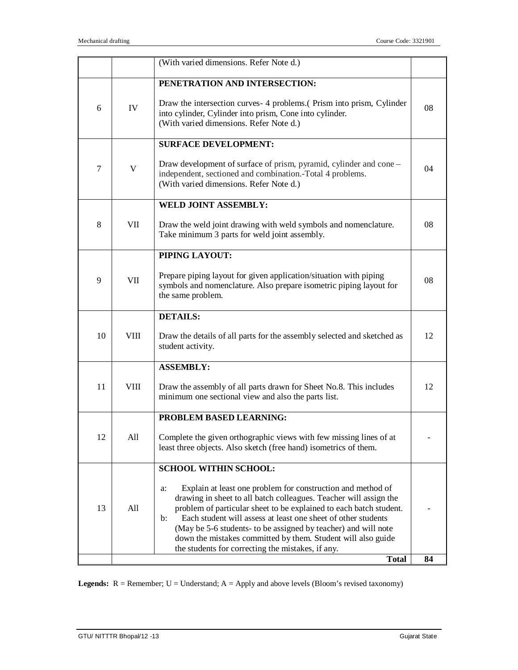|        |             | (With varied dimensions. Refer Note d.)                                                                                                                                                                                                                                                                                                                                                                                                                                                |    |
|--------|-------------|----------------------------------------------------------------------------------------------------------------------------------------------------------------------------------------------------------------------------------------------------------------------------------------------------------------------------------------------------------------------------------------------------------------------------------------------------------------------------------------|----|
|        |             | PENETRATION AND INTERSECTION:                                                                                                                                                                                                                                                                                                                                                                                                                                                          |    |
| 6      | IV          | Draw the intersection curves- 4 problems. (Prism into prism, Cylinder<br>into cylinder, Cylinder into prism, Cone into cylinder.<br>(With varied dimensions. Refer Note d.)                                                                                                                                                                                                                                                                                                            | 08 |
|        |             | <b>SURFACE DEVELOPMENT:</b>                                                                                                                                                                                                                                                                                                                                                                                                                                                            |    |
| $\tau$ | V           | Draw development of surface of prism, pyramid, cylinder and cone –<br>independent, sectioned and combination.-Total 4 problems.<br>(With varied dimensions. Refer Note d.)                                                                                                                                                                                                                                                                                                             | 04 |
|        |             | <b>WELD JOINT ASSEMBLY:</b>                                                                                                                                                                                                                                                                                                                                                                                                                                                            |    |
| 8      | VII.        | Draw the weld joint drawing with weld symbols and nomenclature.<br>Take minimum 3 parts for weld joint assembly.                                                                                                                                                                                                                                                                                                                                                                       | 08 |
|        |             | PIPING LAYOUT:                                                                                                                                                                                                                                                                                                                                                                                                                                                                         |    |
| 9      | VII         | Prepare piping layout for given application/situation with piping<br>symbols and nomenclature. Also prepare isometric piping layout for<br>the same problem.                                                                                                                                                                                                                                                                                                                           | 08 |
|        |             | <b>DETAILS:</b>                                                                                                                                                                                                                                                                                                                                                                                                                                                                        |    |
| 10     | VIII        | Draw the details of all parts for the assembly selected and sketched as<br>student activity.                                                                                                                                                                                                                                                                                                                                                                                           | 12 |
|        |             | <b>ASSEMBLY:</b>                                                                                                                                                                                                                                                                                                                                                                                                                                                                       |    |
| 11     | <b>VIII</b> | Draw the assembly of all parts drawn for Sheet No.8. This includes<br>minimum one sectional view and also the parts list.                                                                                                                                                                                                                                                                                                                                                              | 12 |
|        |             | PROBLEM BASED LEARNING:                                                                                                                                                                                                                                                                                                                                                                                                                                                                |    |
| 12     | All         | Complete the given orthographic views with few missing lines of at<br>least three objects. Also sketch (free hand) isometrics of them.                                                                                                                                                                                                                                                                                                                                                 |    |
|        |             | <b>SCHOOL WITHIN SCHOOL:</b>                                                                                                                                                                                                                                                                                                                                                                                                                                                           |    |
| 13     | All         | Explain at least one problem for construction and method of<br>a:<br>drawing in sheet to all batch colleagues. Teacher will assign the<br>problem of particular sheet to be explained to each batch student.<br>Each student will assess at least one sheet of other students<br>$\mathbf{b}$ :<br>(May be 5-6 students- to be assigned by teacher) and will note<br>down the mistakes committed by them. Student will also guide<br>the students for correcting the mistakes, if any. |    |
|        |             | <b>Total</b>                                                                                                                                                                                                                                                                                                                                                                                                                                                                           | 84 |

**Legends:** R = Remember; U = Understand; A = Apply and above levels (Bloom's revised taxonomy)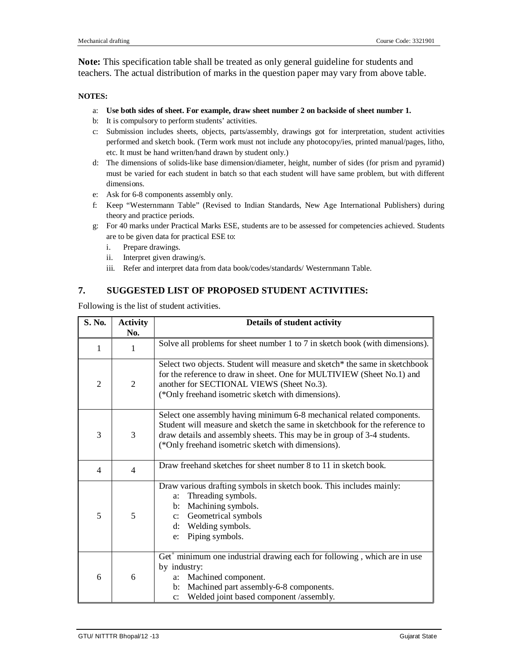**Note:** This specification table shall be treated as only general guideline for students and teachers. The actual distribution of marks in the question paper may vary from above table.

#### **NOTES:**

- a: **Use both sides of sheet. For example, draw sheet number 2 on backside of sheet number 1.**
- b: It is compulsory to perform students' activities.
- c: Submission includes sheets, objects, parts/assembly, drawings got for interpretation, student activities performed and sketch book. (Term work must not include any photocopy/ies, printed manual/pages, litho, etc. It must be hand written/hand drawn by student only.)
- d: The dimensions of solids-like base dimension/diameter, height, number of sides (for prism and pyramid) must be varied for each student in batch so that each student will have same problem, but with different dimensions.
- e: Ask for 6-8 components assembly only.
- f: Keep "Westernmann Table" (Revised to Indian Standards, New Age International Publishers) during theory and practice periods.
- g: For 40 marks under Practical Marks ESE, students are to be assessed for competencies achieved. Students are to be given data for practical ESE to:
	- i. Prepare drawings.
	- ii. Interpret given drawing/s.
	- iii. Refer and interpret data from data book/codes/standards/ Westernmann Table.

# **7. SUGGESTED LIST OF PROPOSED STUDENT ACTIVITIES:**

Following is the list of student activities.

| S. No.         | <b>Activity</b><br>No. | Details of student activity                                                                                                                                                                                                                                                           |  |  |
|----------------|------------------------|---------------------------------------------------------------------------------------------------------------------------------------------------------------------------------------------------------------------------------------------------------------------------------------|--|--|
| 1              | 1                      | Solve all problems for sheet number 1 to 7 in sketch book (with dimensions).                                                                                                                                                                                                          |  |  |
| $\overline{2}$ | $\overline{c}$         | Select two objects. Student will measure and sketch* the same in sketchbook<br>for the reference to draw in sheet. One for MULTIVIEW (Sheet No.1) and<br>another for SECTIONAL VIEWS (Sheet No.3).<br>(*Only freehand isometric sketch with dimensions).                              |  |  |
| 3              | 3                      | Select one assembly having minimum 6-8 mechanical related components.<br>Student will measure and sketch the same in sketchbook for the reference to<br>draw details and assembly sheets. This may be in group of 3-4 students.<br>(*Only freehand isometric sketch with dimensions). |  |  |
| 4              | $\overline{4}$         | Draw freehand sketches for sheet number 8 to 11 in sketch book.                                                                                                                                                                                                                       |  |  |
| 5              | 5                      | Draw various drafting symbols in sketch book. This includes mainly:<br>Threading symbols.<br>a:<br>Machining symbols.<br>$\mathbf{b}$ :<br>Geometrical symbols<br>$\mathbf{c}$ :<br>d: Welding symbols.<br>Piping symbols.<br>e:                                                      |  |  |
| 6              | 6                      | $\text{Get}^+$ minimum one industrial drawing each for following, which are in use<br>by industry:<br>Machined component.<br>a:<br>Machined part assembly-6-8 components.<br>$\mathbf{b}$ :<br>Welded joint based component /assembly.<br>$\mathbf{c}$ :                              |  |  |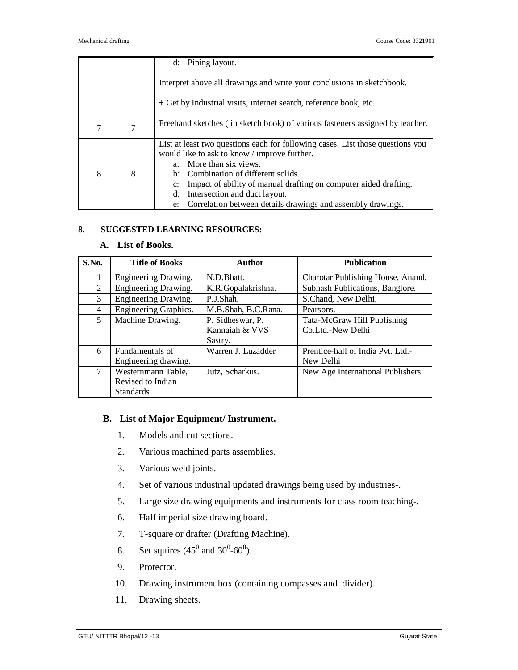|   |   | d: Piping layout.                                                                                                                                                                                                                                                                                                                                                             |  |  |  |
|---|---|-------------------------------------------------------------------------------------------------------------------------------------------------------------------------------------------------------------------------------------------------------------------------------------------------------------------------------------------------------------------------------|--|--|--|
|   |   | Interpret above all drawings and write your conclusions in sketchbook.                                                                                                                                                                                                                                                                                                        |  |  |  |
|   |   | + Get by Industrial visits, internet search, reference book, etc.                                                                                                                                                                                                                                                                                                             |  |  |  |
| 7 |   | Freehand sketches (in sketch book) of various fasteners assigned by teacher.                                                                                                                                                                                                                                                                                                  |  |  |  |
| 8 | 8 | List at least two questions each for following cases. List those questions you<br>would like to ask to know / improve further.<br>a: More than six views.<br>b: Combination of different solids.<br>Impact of ability of manual drafting on computer aided drafting.<br>Intersection and duct layout.<br>d:<br>e: Correlation between details drawings and assembly drawings. |  |  |  |

# **8. SUGGESTED LEARNING RESOURCES:**

### **A. List of Books.**

| S.No. | <b>Title of Books</b> | Author              | <b>Publication</b>                |
|-------|-----------------------|---------------------|-----------------------------------|
| 1     | Engineering Drawing.  | N.D.Bhatt.          | Charotar Publishing House, Anand. |
| 2     | Engineering Drawing.  | K.R.Gopalakrishna.  | Subhash Publications, Banglore.   |
| 3     | Engineering Drawing.  | P.J.Shah.           | S.Chand, New Delhi.               |
| 4     | Engineering Graphics. | M.B.Shah, B.C.Rana. | Pearsons.                         |
| 5     | Machine Drawing.      | P. Sidheswar, P.    | Tata-McGraw Hill Publishing       |
|       |                       | Kannaiah & VVS      | Co.Ltd.-New Delhi                 |
|       |                       | Sastry.             |                                   |
| 6     | Fundamentals of       | Warren J. Luzadder  | Prentice-hall of India Pvt. Ltd.- |
|       | Engineering drawing.  |                     | New Delhi                         |
| 7     | Westernmann Table,    | Jutz, Scharkus.     | New Age International Publishers  |
|       | Revised to Indian     |                     |                                   |
|       | <b>Standards</b>      |                     |                                   |

# **B. List of Major Equipment/ Instrument.**

- 1. Models and cut sections.
- 2. Various machined parts assemblies.
- 3. Various weld joints.
- 4. Set of various industrial updated drawings being used by industries-.
- 5. Large size drawing equipments and instruments for class room teaching-.
- 6. Half imperial size drawing board.
- 7. T-square or drafter (Drafting Machine).
- 8. Set squires  $(45^0 \text{ and } 30^0 \text{-} 60^0)$ .
- 9. Protector.
- 10. Drawing instrument box (containing compasses and divider).
- 11. Drawing sheets.